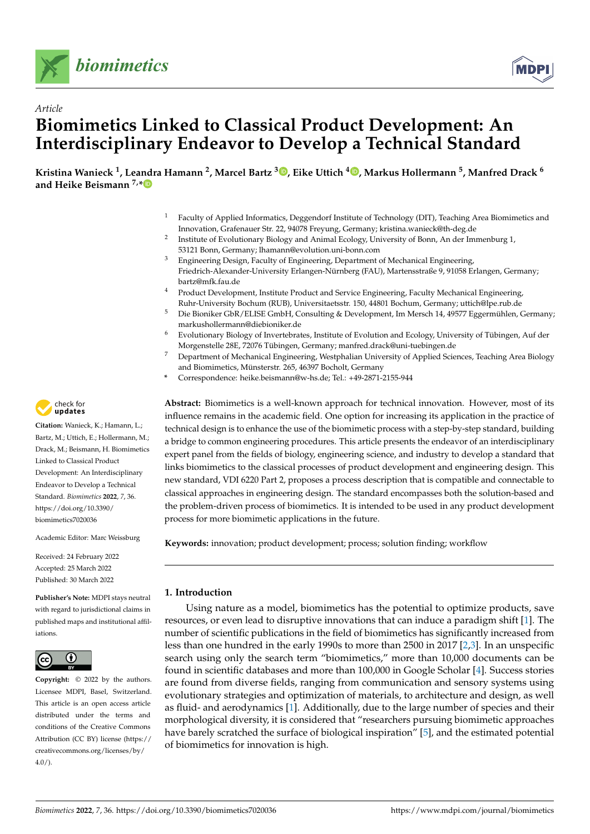



# *Article* **Biomimetics Linked to Classical Product Development: An Interdisciplinary Endeavor to Develop a Technical Standard**

**Kristina Wanieck <sup>1</sup> , Leandra Hamann <sup>2</sup> , Marcel Bartz [3](https://orcid.org/0000-0002-9894-600X) , Eike Uttich [4](https://orcid.org/0000-0003-4833-9102) , Markus Hollermann <sup>5</sup> , Manfred Drack <sup>6</sup> and Heike Beismann 7,[\\*](https://orcid.org/0000-0002-6360-0471)**

- <sup>1</sup> Faculty of Applied Informatics, Deggendorf Institute of Technology (DIT), Teaching Area Biomimetics and Innovation, Grafenauer Str. 22, 94078 Freyung, Germany; kristina.wanieck@th-deg.de
- 2 Institute of Evolutionary Biology and Animal Ecology, University of Bonn, An der Immenburg 1, 53121 Bonn, Germany; lhamann@evolution.uni-bonn.com
- <sup>3</sup> Engineering Design, Faculty of Engineering, Department of Mechanical Engineering, Friedrich-Alexander-University Erlangen-Nürnberg (FAU), Martensstraße 9, 91058 Erlangen, Germany; bartz@mfk.fau.de
- <sup>4</sup> Product Development, Institute Product and Service Engineering, Faculty Mechanical Engineering, Ruhr-University Bochum (RUB), Universitaetsstr. 150, 44801 Bochum, Germany; uttich@lpe.rub.de
- <sup>5</sup> Die Bioniker GbR/ELISE GmbH, Consulting & Development, Im Mersch 14, 49577 Eggermühlen, Germany; markushollermann@diebioniker.de
- <sup>6</sup> Evolutionary Biology of Invertebrates, Institute of Evolution and Ecology, University of Tübingen, Auf der Morgenstelle 28E, 72076 Tübingen, Germany; manfred.drack@uni-tuebingen.de
- <sup>7</sup> Department of Mechanical Engineering, Westphalian University of Applied Sciences, Teaching Area Biology and Biomimetics, Münsterstr. 265, 46397 Bocholt, Germany
- **\*** Correspondence: heike.beismann@w-hs.de; Tel.: +49-2871-2155-944

**Abstract:** Biomimetics is a well-known approach for technical innovation. However, most of its influence remains in the academic field. One option for increasing its application in the practice of technical design is to enhance the use of the biomimetic process with a step-by-step standard, building a bridge to common engineering procedures. This article presents the endeavor of an interdisciplinary expert panel from the fields of biology, engineering science, and industry to develop a standard that links biomimetics to the classical processes of product development and engineering design. This new standard, VDI 6220 Part 2, proposes a process description that is compatible and connectable to classical approaches in engineering design. The standard encompasses both the solution-based and the problem-driven process of biomimetics. It is intended to be used in any product development process for more biomimetic applications in the future.

**Keywords:** innovation; product development; process; solution finding; workflow

# **1. Introduction**

Using nature as a model, biomimetics has the potential to optimize products, save resources, or even lead to disruptive innovations that can induce a paradigm shift [\[1\]](#page-9-0). The number of scientific publications in the field of biomimetics has significantly increased from less than one hundred in the early 1990s to more than 2500 in 2017 [\[2](#page-9-1)[,3\]](#page-9-2). In an unspecific search using only the search term "biomimetics," more than 10,000 documents can be found in scientific databases and more than 100,000 in Google Scholar [\[4\]](#page-9-3). Success stories are found from diverse fields, ranging from communication and sensory systems using evolutionary strategies and optimization of materials, to architecture and design, as well as fluid- and aerodynamics [\[1\]](#page-9-0). Additionally, due to the large number of species and their morphological diversity, it is considered that "researchers pursuing biomimetic approaches have barely scratched the surface of biological inspiration" [\[5\]](#page-9-4), and the estimated potential of biomimetics for innovation is high.



**Citation:** Wanieck, K.; Hamann, L.; Bartz, M.; Uttich, E.; Hollermann, M.; Drack, M.; Beismann, H. Biomimetics Linked to Classical Product Development: An Interdisciplinary Endeavor to Develop a Technical Standard. *Biomimetics* **2022**, *7*, 36. [https://doi.org/10.3390/](https://doi.org/10.3390/biomimetics7020036) [biomimetics7020036](https://doi.org/10.3390/biomimetics7020036)

Academic Editor: Marc Weissburg

Received: 24 February 2022 Accepted: 25 March 2022 Published: 30 March 2022

**Publisher's Note:** MDPI stays neutral with regard to jurisdictional claims in published maps and institutional affiliations.



**Copyright:** © 2022 by the authors. Licensee MDPI, Basel, Switzerland. This article is an open access article distributed under the terms and conditions of the Creative Commons Attribution (CC BY) license [\(https://](https://creativecommons.org/licenses/by/4.0/) [creativecommons.org/licenses/by/](https://creativecommons.org/licenses/by/4.0/)  $4.0/$ ).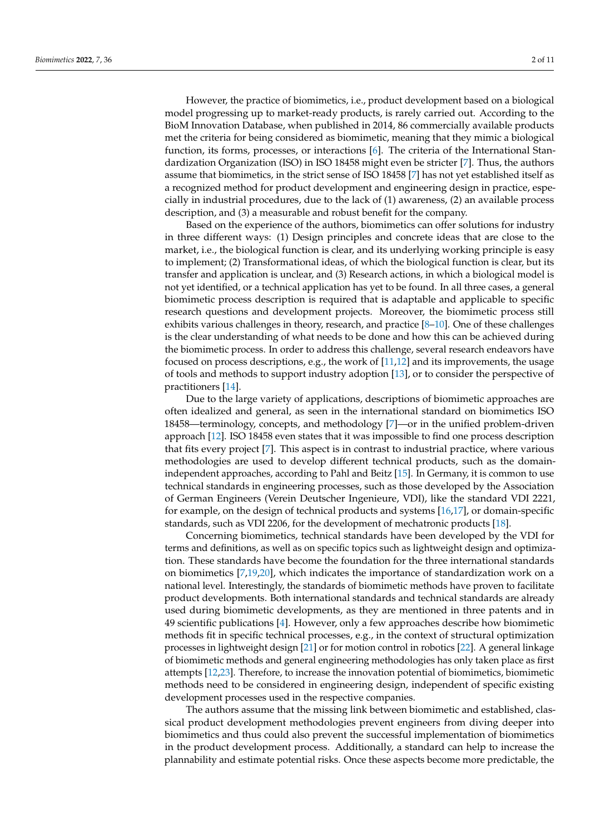However, the practice of biomimetics, i.e., product development based on a biological model progressing up to market-ready products, is rarely carried out. According to the BioM Innovation Database, when published in 2014, 86 commercially available products met the criteria for being considered as biomimetic, meaning that they mimic a biological function, its forms, processes, or interactions [\[6\]](#page-9-5). The criteria of the International Standardization Organization (ISO) in ISO 18458 might even be stricter [\[7\]](#page-9-6). Thus, the authors assume that biomimetics, in the strict sense of ISO 18458 [\[7\]](#page-9-6) has not yet established itself as a recognized method for product development and engineering design in practice, especially in industrial procedures, due to the lack of (1) awareness, (2) an available process description, and (3) a measurable and robust benefit for the company.

Based on the experience of the authors, biomimetics can offer solutions for industry in three different ways: (1) Design principles and concrete ideas that are close to the market, i.e., the biological function is clear, and its underlying working principle is easy to implement; (2) Transformational ideas, of which the biological function is clear, but its transfer and application is unclear, and (3) Research actions, in which a biological model is not yet identified, or a technical application has yet to be found. In all three cases, a general biomimetic process description is required that is adaptable and applicable to specific research questions and development projects. Moreover, the biomimetic process still exhibits various challenges in theory, research, and practice [\[8–](#page-9-7)[10\]](#page-9-8). One of these challenges is the clear understanding of what needs to be done and how this can be achieved during the biomimetic process. In order to address this challenge, several research endeavors have focused on process descriptions, e.g., the work of [\[11](#page-9-9)[,12\]](#page-9-10) and its improvements, the usage of tools and methods to support industry adoption [\[13\]](#page-9-11), or to consider the perspective of practitioners [\[14\]](#page-9-12).

Due to the large variety of applications, descriptions of biomimetic approaches are often idealized and general, as seen in the international standard on biomimetics ISO 18458—terminology, concepts, and methodology [\[7\]](#page-9-6)—or in the unified problem-driven approach [\[12\]](#page-9-10). ISO 18458 even states that it was impossible to find one process description that fits every project [\[7\]](#page-9-6). This aspect is in contrast to industrial practice, where various methodologies are used to develop different technical products, such as the domainindependent approaches, according to Pahl and Beitz [\[15\]](#page-9-13). In Germany, it is common to use technical standards in engineering processes, such as those developed by the Association of German Engineers (Verein Deutscher Ingenieure, VDI), like the standard VDI 2221, for example, on the design of technical products and systems [\[16,](#page-9-14)[17\]](#page-9-15), or domain-specific standards, such as VDI 2206, for the development of mechatronic products [\[18\]](#page-9-16).

Concerning biomimetics, technical standards have been developed by the VDI for terms and definitions, as well as on specific topics such as lightweight design and optimization. These standards have become the foundation for the three international standards on biomimetics [\[7](#page-9-6)[,19](#page-9-17)[,20\]](#page-9-18), which indicates the importance of standardization work on a national level. Interestingly, the standards of biomimetic methods have proven to facilitate product developments. Both international standards and technical standards are already used during biomimetic developments, as they are mentioned in three patents and in 49 scientific publications [\[4\]](#page-9-3). However, only a few approaches describe how biomimetic methods fit in specific technical processes, e.g., in the context of structural optimization processes in lightweight design [\[21\]](#page-9-19) or for motion control in robotics [\[22\]](#page-9-20). A general linkage of biomimetic methods and general engineering methodologies has only taken place as first attempts [\[12](#page-9-10)[,23\]](#page-9-21). Therefore, to increase the innovation potential of biomimetics, biomimetic methods need to be considered in engineering design, independent of specific existing development processes used in the respective companies.

The authors assume that the missing link between biomimetic and established, classical product development methodologies prevent engineers from diving deeper into biomimetics and thus could also prevent the successful implementation of biomimetics in the product development process. Additionally, a standard can help to increase the plannability and estimate potential risks. Once these aspects become more predictable, the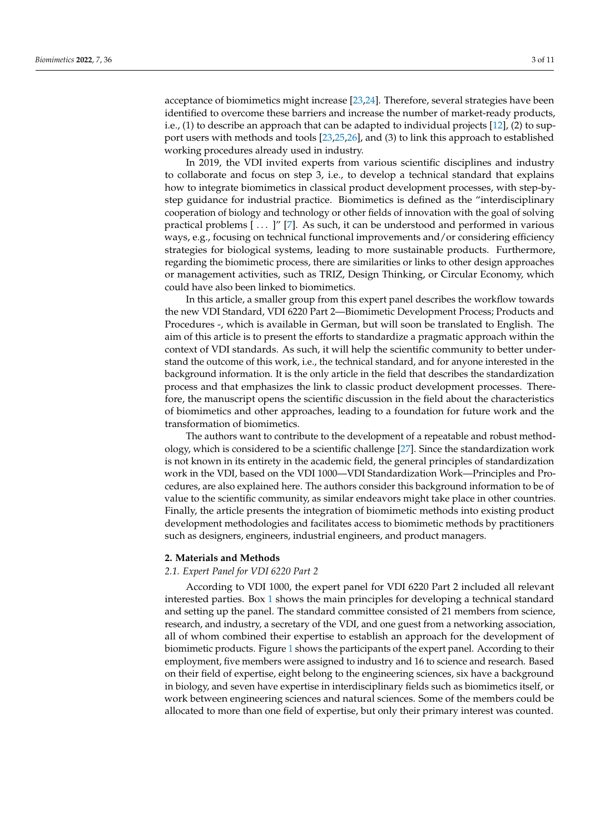acceptance of biomimetics might increase [\[23,](#page-9-21)[24\]](#page-9-22). Therefore, several strategies have been identified to overcome these barriers and increase the number of market-ready products, i.e.,  $(1)$  to describe an approach that can be adapted to individual projects  $[12]$ ,  $(2)$  to support users with methods and tools [\[23](#page-9-21)[,25](#page-9-23)[,26\]](#page-9-24), and (3) to link this approach to established working procedures already used in industry.

In 2019, the VDI invited experts from various scientific disciplines and industry to collaborate and focus on step 3, i.e., to develop a technical standard that explains how to integrate biomimetics in classical product development processes, with step-bystep guidance for industrial practice. Biomimetics is defined as the "interdisciplinary cooperation of biology and technology or other fields of innovation with the goal of solving practical problems [ . . . ]" [\[7\]](#page-9-6). As such, it can be understood and performed in various ways, e.g., focusing on technical functional improvements and/or considering efficiency strategies for biological systems, leading to more sustainable products. Furthermore, regarding the biomimetic process, there are similarities or links to other design approaches or management activities, such as TRIZ, Design Thinking, or Circular Economy, which could have also been linked to biomimetics.

In this article, a smaller group from this expert panel describes the workflow towards the new VDI Standard, VDI 6220 Part 2—Biomimetic Development Process; Products and Procedures -, which is available in German, but will soon be translated to English. The aim of this article is to present the efforts to standardize a pragmatic approach within the context of VDI standards. As such, it will help the scientific community to better understand the outcome of this work, i.e., the technical standard, and for anyone interested in the background information. It is the only article in the field that describes the standardization process and that emphasizes the link to classic product development processes. Therefore, the manuscript opens the scientific discussion in the field about the characteristics of biomimetics and other approaches, leading to a foundation for future work and the transformation of biomimetics.

The authors want to contribute to the development of a repeatable and robust methodology, which is considered to be a scientific challenge [\[27\]](#page-9-25). Since the standardization work is not known in its entirety in the academic field, the general principles of standardization work in the VDI, based on the VDI 1000—VDI Standardization Work—Principles and Procedures, are also explained here. The authors consider this background information to be of value to the scientific community, as similar endeavors might take place in other countries. Finally, the article presents the integration of biomimetic methods into existing product development methodologies and facilitates access to biomimetic methods by practitioners such as designers, engineers, industrial engineers, and product managers.

#### **2. Materials and Methods**

#### *2.1. Expert Panel for VDI 6220 Part 2*

According to VDI 1000, the expert panel for VDI 6220 Part 2 included all relevant interested parties. Box [1](#page-3-0) shows the main principles for developing a technical standard and setting up the panel. The standard committee consisted of 21 members from science, research, and industry, a secretary of the VDI, and one guest from a networking association, all of whom combined their expertise to establish an approach for the development of biomimetic products. Figure [1](#page-3-1) shows the participants of the expert panel. According to their employment, five members were assigned to industry and 16 to science and research. Based on their field of expertise, eight belong to the engineering sciences, six have a background in biology, and seven have expertise in interdisciplinary fields such as biomimetics itself, or work between engineering sciences and natural sciences. Some of the members could be allocated to more than one field of expertise, but only their primary interest was counted.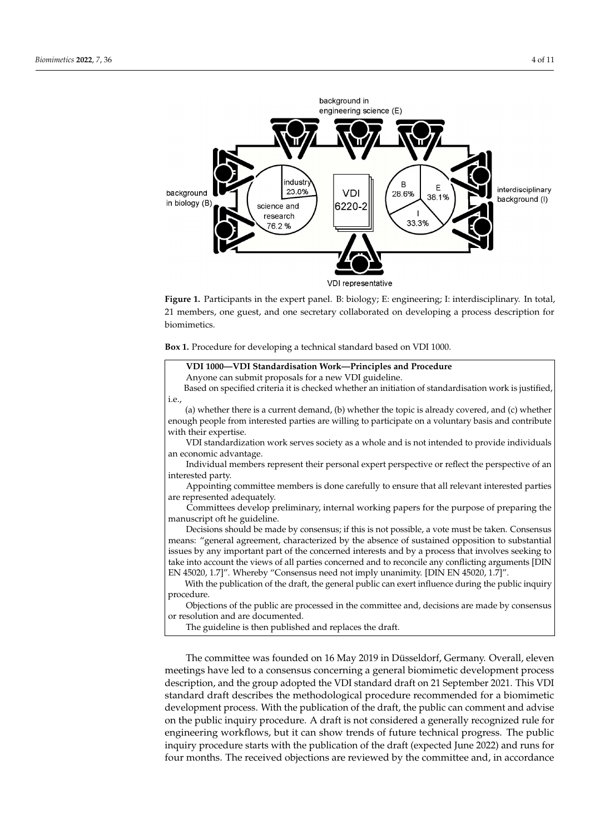<span id="page-3-1"></span>

by consensus or resolution and are documented.

Figure 1. Participants in the expert panel. B: biology; E: engineering; I: interdisciplinary. In total, 21 members, one guest, and one secretary collaborated on developing a process description for biomimetics.

<span id="page-3-0"></span>Box 1. Procedure for developing a technical standard based on VDI 1000.

## meetings have led to a consensus consensus consensus concerning a general biomimetic development processes and **VDI 1000—VDI Standardisation Work—Principles and Procedure**  $\mathbf{S}$  submit proposals for a new  $\mathbf{v}$  by guideline. Based on specified criteria it is checked whether an initiation of standardisation work is justified,  $\Big\vert$ (a) whether there is a current demand, (b) whether the topic is already covered, and (c) whether Anyone can submit proposals for a new VDI guideline. i.e., enough people from interested parties are willing to participate on a voluntary basis and contribute with their expertise. VDI standardization work serves society as a whole and is not intended to provide individuals an economic advantage. Individual members represent their personal expert perspective or reflect the perspective of an interested party. Appointing committee members is done carefully to ensure that all relevant interested parties are represented adequately. Committees develop preliminary, internal working papers for the purpose of preparing the manuscript oft he guideline. Decisions should be made by consensus; if this is not possible, a vote must be taken. Consensus means: "general agreement, characterized by the absence of sustained opposition to substantial issues by any important part of the concerned interests and by a process that involves seeking to take into account the views of all parties concerned and to reconcile any conflicting arguments [DIN EN 45020, 1.7]". Whereby "Consensus need not imply unanimity. [DIN EN 45020, 1.7]". With the publication of the draft, the general public can exert influence during the public inquiry procedure. Objections of the public are processed in the committee and, decisions are made by consensus or resolution and are documented. The guideline is then published and replaces the draft.

The committee was founded on 16 May 2019 in Düsseldorf, Germany. Overall, eleven meetings have led to a consensus concerning a general biomimetic development process description, and the group adopted the VDI standard draft on 21 September 2021. This VDI standard draft describes the methodological procedure recommended for a biomimetic development process. With the publication of the draft, the public can comment and advise on the public inquiry procedure. A draft is not considered a generally recognized rule for engineering workflows, but it can show trends of future technical progress. The public inquiry procedure starts with the publication of the draft (expected June 2022) and runs for four months. The received objections are reviewed by the committee and, in accordance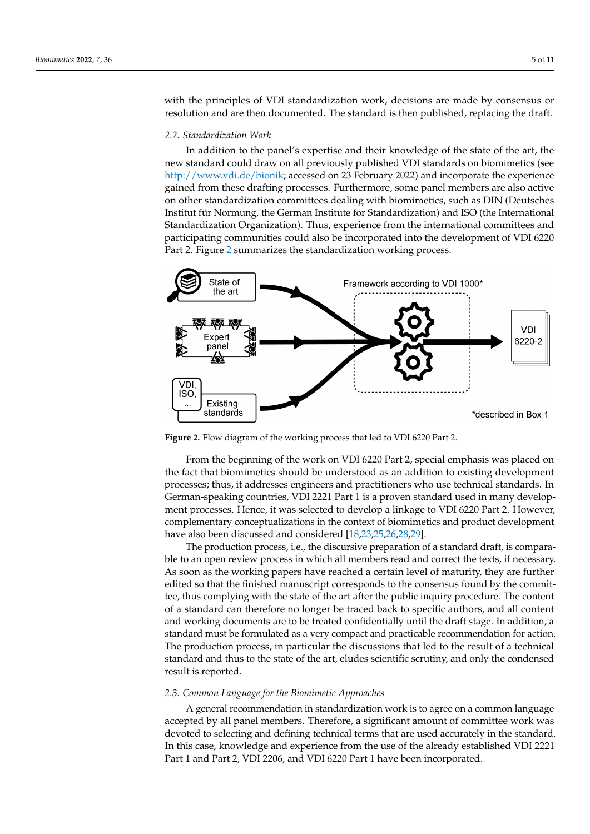with the principles of VDI standardization work, decisions are made by consensus or resolution and are then documented. The standard is then published, replacing the draft.

runs for four months. The received objections are reviewed by the committee and, in ac-

# *2.2. Standardization Work 2.2. Standardization Work*

In addition to the panel's expertise and their knowledge of the state of the art, the In addition to the panel's expertise and their knowledge of the state of the art, the new standard could draw on all previously published VDI standards on biomimetics (see new standard could draw on all previously published VDI standards on biomimetics (see [http://www.vdi.de/bionik;](http://www.vdi.de/bionik) accessed on 23 February 2022) and incorporate the experience http://www.vdi.de/bionik; accessed on 23 February 2022) and incorporate the experience gained from these drafting processes. Furthermore, some panel members are also active gained from these drafting processes. Furthermore, some panel members are also active on other standardization committees dealing with biomimetics, such as DIN (Deutsches on other standardization committees dealing with biomimetics, such as DIN (Deutsches Institut für Normung, the German Institute for Standardization) and ISO (the International Standardization Organization). Thus, experience from the international committees and participating communities could also be incorporated into the development of VDI 6220 Part 2. Figure 2 summarizes the standardization working process. 6220 Part 2. F[ig](#page-4-0)ure 2 summarizes the standardization working process.

<span id="page-4-0"></span>

**Figure 2.** Flow diagram of the working process that led to VDI 6220 Part 2. **Figure 2.** Flow diagram of the working process that led to VDI 6220 Part 2.

From the beginning of the work on VDI 6220 Part 2, special emphasis was placed on From the beginning of the work on VDI 6220 Part 2, special emphasis was placed on the fact that biomimetics should be understood as an addition to existing development the fact that biomimetics should be understood as an addition to existing development processes; thus, it addresses engineers and practitioners who use technical standards. In processes; thus, it addresses engineers and practitioners who use technical standards. In German-speaking countries, VDI 2221 Part 1 is a proven standard used in many develop-German-speaking countries, VDI 2221 Part 1 is a proven standard used in many development processes. Hence, it was selected to develop a linkage to VDI 6220 Part 2. However, ment processes. Hence, it was selected to develop a linkage to VDI 6220 Part 2. However, complementary conceptualizations in the context of biomimetics and product development have also been discussed and consi[der](#page-9-16)[ed](#page-9-21) [\[18](#page-9-23)[,23](#page-9-24)[,25](#page-10-0)[,26,](#page-10-1)28,29].

The production process, i.e., the discursive preparation of a standard draft, is comparable to an open review process in which all members read and correct the texts, if necessary. As soon as the working papers have reached a certain level of maturity, they are further edited so that the finished manuscript corresponds to the consensus found by the committee, thus complying with the state of the art after the public inquiry procedure. The content of a standard can therefore no longer be traced back to specific authors, and all content and working documents are to be treated confidentially until the draft stage. In addition, a standard must be formulated as a very compact and practicable recommendation for action. The production process, in particular the discussions that led to the result of a technical standard and thus to the state of the art, eludes scientific scrutiny, and only the condensed result is reported.

#### *2.3. Common Language for the Biomimetic Approaches*

A general recommendation in standardization work is to agree on a common language accepted by all panel members. Therefore, a significant amount of committee work was devoted to selecting and defining technical terms that are used accurately in the standard. In this case, knowledge and experience from the use of the already established VDI 2221 Part 1 and Part 2, VDI 2206, and VDI 6220 Part 1 have been incorporated.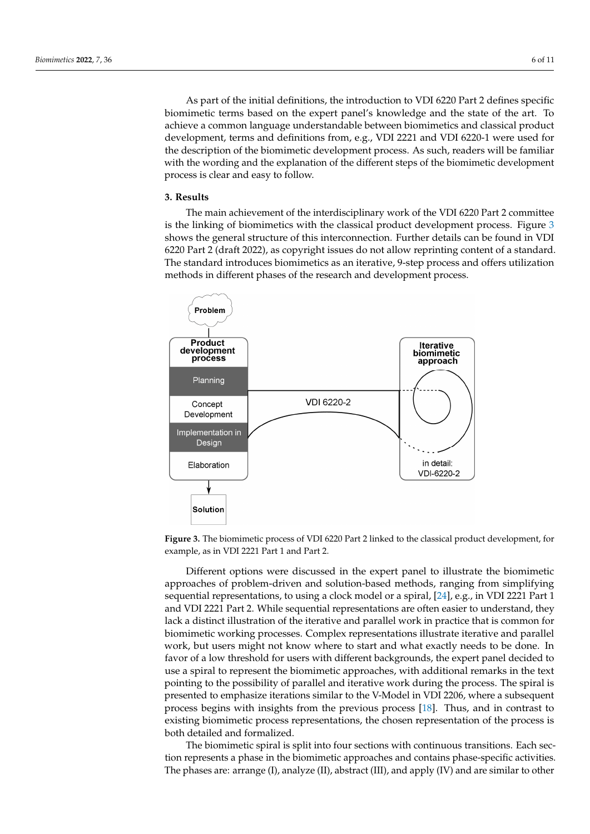As part of the initial definitions, the introduction to VDI 6220 Part 2 defines specific As part of the initial definitions, the introduction to VDI 6220 Part 2 defines specific biomimetic terms based on the expert panel's knowledge and the state of the art. To biomimetic terms based on the expert panel's knowledge and the state of the art. To achieve a common language understandable between biomimetics and classical product achieve a common language understandable between biomimetics and classical product development, terms and definitions from, e.g., VDI 2221 and VDI 6220-1 were used for development, terms and definitions from, e.g., VDI 2221 and VDI 6220-1 were used for the description of the biomimetic development process. As such, readers will be familiar the description of the biomimetic development process. As such, readers will be familiar with the wording and the explanation of the different steps of the biomimetic development process is clear and easy to follow.

standard. In this case, knowledge and experience from the use of the already established

## **3. Results 3. Results**

The main achievement of the interdisciplinary work of the VDI 6220 Part 2 committee The main achievement of the interdisciplinary work of the VDI 6220 Part 2 committee is the linking of biomimetics with the classical product development process. Figure  $3$ shows the general structure of this interconnection. Further details can be found in VDI shows the general structure of this interconnection. Further details can be found in VDI 6220 Part 2 (draft 2022), as copyright issues do not allow reprinting content of a standard. 6220 Part 2 (draft 2022), as copyright issues do not allow reprinting content of a standard. The standard introduces biomimetics as an iterative, 9-step process and offers utilization The standard introduces biomimetics as an iterative, 9-step process and offers utilization methods in different phases of the research and development process. methods in different phases of the research and development process.

<span id="page-5-0"></span>

**Figure 3.** The biomimetic process of VDI 6220 Part 2 linked to the classical product development, **Figure 3.** The biomimetic process of VDI 6220 Part 2 linked to the classical product development, for for example, as in VDI 2221 Part 1 and Part 2. example, as in VDI 2221 Part 1 and Part 2.

Different options were discussed in the expert panel to illustrate the biomimetic approaches of problem-driven and solution-based methods, ranging from simplifying quential representations, to using a clock model or a spiral, [24], e.g., in VDI 2221 Part 1 sequential representations, to using a clock model or a spiral, [\[24\]](#page-9-22), e.g., in VDI 2221 Part 1 and VDI 2221 Part 2. While sequential representations are often easier to understand, they and VDI 2221 Part 2. While sequential representations are often easier to understand, they lack a distinct illustration of the iterative and parallel work in practice that is common for lack a distinct illustration of the iterative and parallel work in practice that is common for biomimetic working processes. Complex representations illustrate iterative and parallel biomimetic working processes. Complex representations illustrate iterative and parallel work, but users might not know where to start and what exactly needs to be done. In favor of a low threshold for users with different backgrounds, the expert panel decided to use a spiral to represent the biomimetic approaches, with additional remarks in the text pointing to the possibility of parallel and iterative work during the process. The spiral is presented to emphasize iterations similar to the V-Model in VDI 2206, where a subsequent process begins with insights from the previous process [\[18\]](#page-9-16). Thus, and in contrast to existing biomimetic process representations, the chosen representation of the process is both detailed and formalized.

The biomimetic spiral is split into four sections with continuous transitions. Each section represents a phase in the biomimetic approaches and contains phase-specific activities. The phases are: arrange (I), analyze (II), abstract (III), and apply (IV) and are similar to other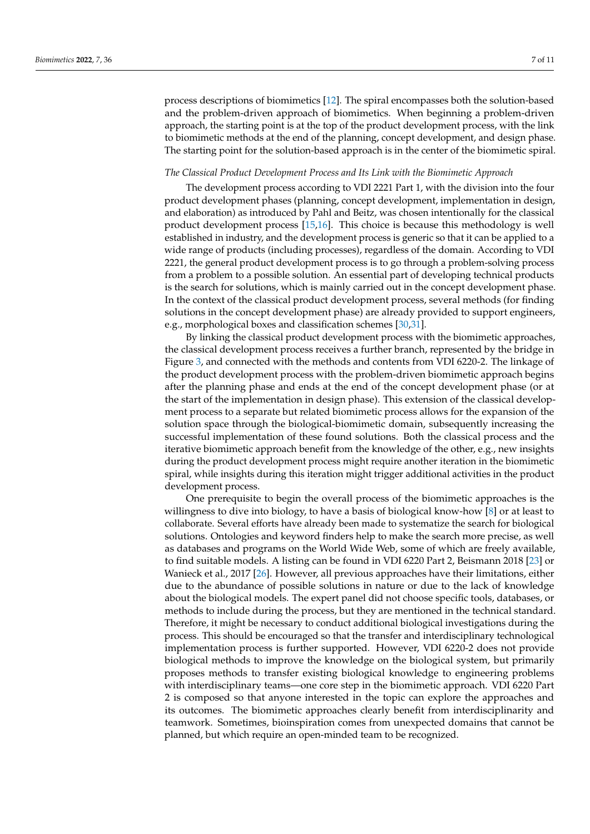process descriptions of biomimetics [\[12\]](#page-9-10). The spiral encompasses both the solution-based and the problem-driven approach of biomimetics. When beginning a problem-driven approach, the starting point is at the top of the product development process, with the link to biomimetic methods at the end of the planning, concept development, and design phase. The starting point for the solution-based approach is in the center of the biomimetic spiral.

### *The Classical Product Development Process and Its Link with the Biomimetic Approach*

The development process according to VDI 2221 Part 1, with the division into the four product development phases (planning, concept development, implementation in design, and elaboration) as introduced by Pahl and Beitz, was chosen intentionally for the classical product development process [\[15,](#page-9-13)[16\]](#page-9-14). This choice is because this methodology is well established in industry, and the development process is generic so that it can be applied to a wide range of products (including processes), regardless of the domain. According to VDI 2221, the general product development process is to go through a problem-solving process from a problem to a possible solution. An essential part of developing technical products is the search for solutions, which is mainly carried out in the concept development phase. In the context of the classical product development process, several methods (for finding solutions in the concept development phase) are already provided to support engineers, e.g., morphological boxes and classification schemes [\[30](#page-10-2)[,31\]](#page-10-3).

By linking the classical product development process with the biomimetic approaches, the classical development process receives a further branch, represented by the bridge in Figure [3,](#page-5-0) and connected with the methods and contents from VDI 6220-2. The linkage of the product development process with the problem-driven biomimetic approach begins after the planning phase and ends at the end of the concept development phase (or at the start of the implementation in design phase). This extension of the classical development process to a separate but related biomimetic process allows for the expansion of the solution space through the biological-biomimetic domain, subsequently increasing the successful implementation of these found solutions. Both the classical process and the iterative biomimetic approach benefit from the knowledge of the other, e.g., new insights during the product development process might require another iteration in the biomimetic spiral, while insights during this iteration might trigger additional activities in the product development process.

One prerequisite to begin the overall process of the biomimetic approaches is the willingness to dive into biology, to have a basis of biological know-how [\[8\]](#page-9-7) or at least to collaborate. Several efforts have already been made to systematize the search for biological solutions. Ontologies and keyword finders help to make the search more precise, as well as databases and programs on the World Wide Web, some of which are freely available, to find suitable models. A listing can be found in VDI 6220 Part 2, Beismann 2018 [\[23\]](#page-9-21) or Wanieck et al., 2017 [\[26\]](#page-9-24). However, all previous approaches have their limitations, either due to the abundance of possible solutions in nature or due to the lack of knowledge about the biological models. The expert panel did not choose specific tools, databases, or methods to include during the process, but they are mentioned in the technical standard. Therefore, it might be necessary to conduct additional biological investigations during the process. This should be encouraged so that the transfer and interdisciplinary technological implementation process is further supported. However, VDI 6220-2 does not provide biological methods to improve the knowledge on the biological system, but primarily proposes methods to transfer existing biological knowledge to engineering problems with interdisciplinary teams—one core step in the biomimetic approach. VDI 6220 Part 2 is composed so that anyone interested in the topic can explore the approaches and its outcomes. The biomimetic approaches clearly benefit from interdisciplinarity and teamwork. Sometimes, bioinspiration comes from unexpected domains that cannot be planned, but which require an open-minded team to be recognized.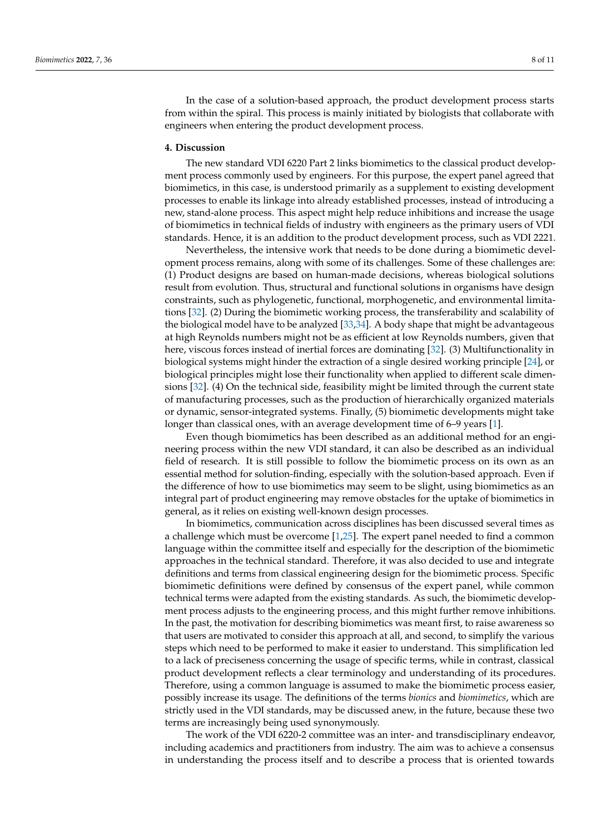In the case of a solution-based approach, the product development process starts from within the spiral. This process is mainly initiated by biologists that collaborate with engineers when entering the product development process.

## **4. Discussion**

The new standard VDI 6220 Part 2 links biomimetics to the classical product development process commonly used by engineers. For this purpose, the expert panel agreed that biomimetics, in this case, is understood primarily as a supplement to existing development processes to enable its linkage into already established processes, instead of introducing a new, stand-alone process. This aspect might help reduce inhibitions and increase the usage of biomimetics in technical fields of industry with engineers as the primary users of VDI standards. Hence, it is an addition to the product development process, such as VDI 2221.

Nevertheless, the intensive work that needs to be done during a biomimetic development process remains, along with some of its challenges. Some of these challenges are: (1) Product designs are based on human-made decisions, whereas biological solutions result from evolution. Thus, structural and functional solutions in organisms have design constraints, such as phylogenetic, functional, morphogenetic, and environmental limitations [\[32\]](#page-10-4). (2) During the biomimetic working process, the transferability and scalability of the biological model have to be analyzed [\[33,](#page-10-5)[34\]](#page-10-6). A body shape that might be advantageous at high Reynolds numbers might not be as efficient at low Reynolds numbers, given that here, viscous forces instead of inertial forces are dominating [\[32\]](#page-10-4). (3) Multifunctionality in biological systems might hinder the extraction of a single desired working principle [\[24\]](#page-9-22), or biological principles might lose their functionality when applied to different scale dimensions [\[32\]](#page-10-4). (4) On the technical side, feasibility might be limited through the current state of manufacturing processes, such as the production of hierarchically organized materials or dynamic, sensor-integrated systems. Finally, (5) biomimetic developments might take longer than classical ones, with an average development time of 6–9 years [\[1\]](#page-9-0).

Even though biomimetics has been described as an additional method for an engineering process within the new VDI standard, it can also be described as an individual field of research. It is still possible to follow the biomimetic process on its own as an essential method for solution-finding, especially with the solution-based approach. Even if the difference of how to use biomimetics may seem to be slight, using biomimetics as an integral part of product engineering may remove obstacles for the uptake of biomimetics in general, as it relies on existing well-known design processes.

In biomimetics, communication across disciplines has been discussed several times as a challenge which must be overcome [\[1](#page-9-0)[,25\]](#page-9-23). The expert panel needed to find a common language within the committee itself and especially for the description of the biomimetic approaches in the technical standard. Therefore, it was also decided to use and integrate definitions and terms from classical engineering design for the biomimetic process. Specific biomimetic definitions were defined by consensus of the expert panel, while common technical terms were adapted from the existing standards. As such, the biomimetic development process adjusts to the engineering process, and this might further remove inhibitions. In the past, the motivation for describing biomimetics was meant first, to raise awareness so that users are motivated to consider this approach at all, and second, to simplify the various steps which need to be performed to make it easier to understand. This simplification led to a lack of preciseness concerning the usage of specific terms, while in contrast, classical product development reflects a clear terminology and understanding of its procedures. Therefore, using a common language is assumed to make the biomimetic process easier, possibly increase its usage. The definitions of the terms *bionics* and *biomimetics*, which are strictly used in the VDI standards, may be discussed anew, in the future, because these two terms are increasingly being used synonymously.

The work of the VDI 6220-2 committee was an inter- and transdisciplinary endeavor, including academics and practitioners from industry. The aim was to achieve a consensus in understanding the process itself and to describe a process that is oriented towards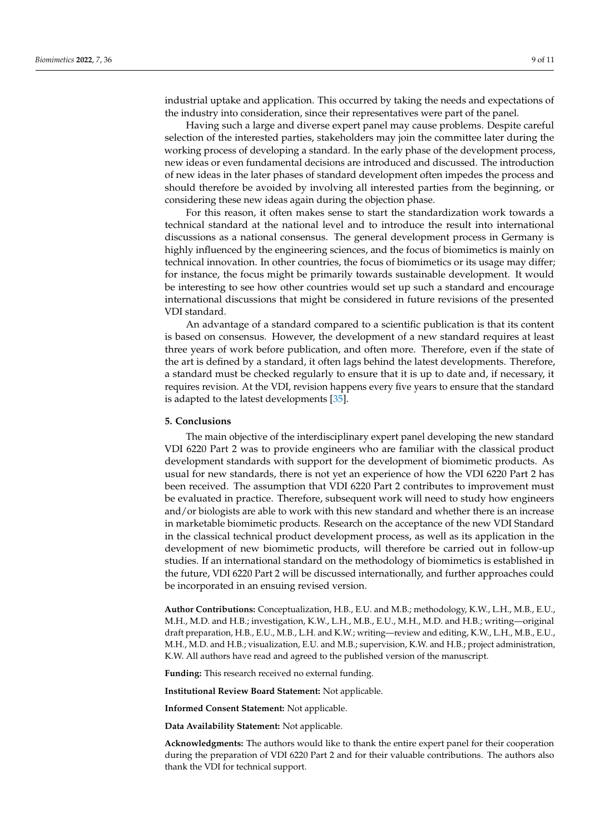industrial uptake and application. This occurred by taking the needs and expectations of the industry into consideration, since their representatives were part of the panel.

Having such a large and diverse expert panel may cause problems. Despite careful selection of the interested parties, stakeholders may join the committee later during the working process of developing a standard. In the early phase of the development process, new ideas or even fundamental decisions are introduced and discussed. The introduction of new ideas in the later phases of standard development often impedes the process and should therefore be avoided by involving all interested parties from the beginning, or considering these new ideas again during the objection phase.

For this reason, it often makes sense to start the standardization work towards a technical standard at the national level and to introduce the result into international discussions as a national consensus. The general development process in Germany is highly influenced by the engineering sciences, and the focus of biomimetics is mainly on technical innovation. In other countries, the focus of biomimetics or its usage may differ; for instance, the focus might be primarily towards sustainable development. It would be interesting to see how other countries would set up such a standard and encourage international discussions that might be considered in future revisions of the presented VDI standard.

An advantage of a standard compared to a scientific publication is that its content is based on consensus. However, the development of a new standard requires at least three years of work before publication, and often more. Therefore, even if the state of the art is defined by a standard, it often lags behind the latest developments. Therefore, a standard must be checked regularly to ensure that it is up to date and, if necessary, it requires revision. At the VDI, revision happens every five years to ensure that the standard is adapted to the latest developments [\[35\]](#page-10-7).

#### **5. Conclusions**

The main objective of the interdisciplinary expert panel developing the new standard VDI 6220 Part 2 was to provide engineers who are familiar with the classical product development standards with support for the development of biomimetic products. As usual for new standards, there is not yet an experience of how the VDI 6220 Part 2 has been received. The assumption that VDI 6220 Part 2 contributes to improvement must be evaluated in practice. Therefore, subsequent work will need to study how engineers and/or biologists are able to work with this new standard and whether there is an increase in marketable biomimetic products. Research on the acceptance of the new VDI Standard in the classical technical product development process, as well as its application in the development of new biomimetic products, will therefore be carried out in follow-up studies. If an international standard on the methodology of biomimetics is established in the future, VDI 6220 Part 2 will be discussed internationally, and further approaches could be incorporated in an ensuing revised version.

**Author Contributions:** Conceptualization, H.B., E.U. and M.B.; methodology, K.W., L.H., M.B., E.U., M.H., M.D. and H.B.; investigation, K.W., L.H., M.B., E.U., M.H., M.D. and H.B.; writing—original draft preparation, H.B., E.U., M.B., L.H. and K.W.; writing—review and editing, K.W., L.H., M.B., E.U., M.H., M.D. and H.B.; visualization, E.U. and M.B.; supervision, K.W. and H.B.; project administration, K.W. All authors have read and agreed to the published version of the manuscript.

**Funding:** This research received no external funding.

**Institutional Review Board Statement:** Not applicable.

**Informed Consent Statement:** Not applicable.

**Data Availability Statement:** Not applicable.

**Acknowledgments:** The authors would like to thank the entire expert panel for their cooperation during the preparation of VDI 6220 Part 2 and for their valuable contributions. The authors also thank the VDI for technical support.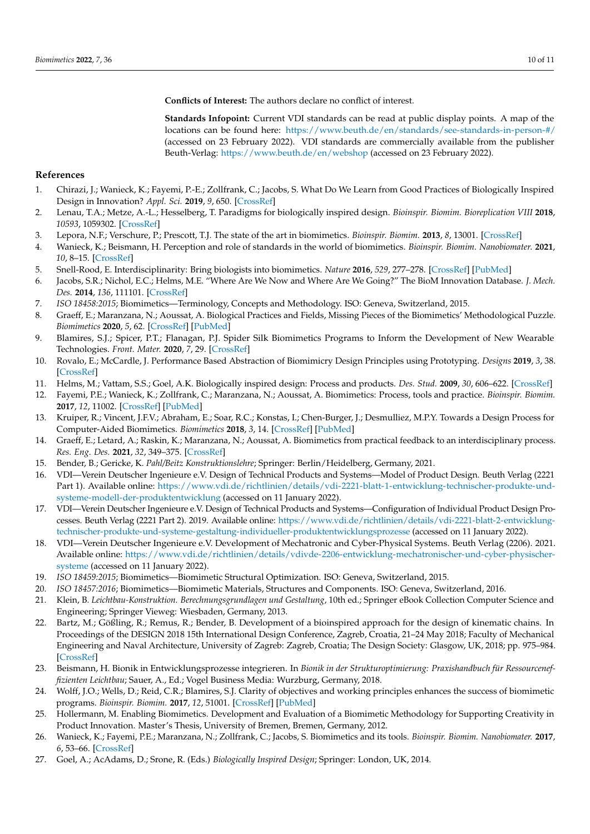**Conflicts of Interest:** The authors declare no conflict of interest.

**Standards Infopoint:** Current VDI standards can be read at public display points. A map of the locations can be found here: <https://www.beuth.de/en/standards/see-standards-in-person-#/> (accessed on 23 February 2022). VDI standards are commercially available from the publisher Beuth-Verlag: <https://www.beuth.de/en/webshop> (accessed on 23 February 2022).

## **References**

- <span id="page-9-0"></span>1. Chirazi, J.; Wanieck, K.; Fayemi, P.-E.; Zollfrank, C.; Jacobs, S. What Do We Learn from Good Practices of Biologically Inspired Design in Innovation? *Appl. Sci.* **2019**, *9*, 650. [\[CrossRef\]](http://doi.org/10.3390/app9040650)
- <span id="page-9-1"></span>2. Lenau, T.A.; Metze, A.-L.; Hesselberg, T. Paradigms for biologically inspired design. *Bioinspir. Biomim. Bioreplication VIII* **2018**, *10593*, 1059302. [\[CrossRef\]](http://doi.org/10.1117/12.2296560)
- <span id="page-9-2"></span>3. Lepora, N.F.; Verschure, P.; Prescott, T.J. The state of the art in biomimetics. *Bioinspir. Biomim.* **2013**, *8*, 13001. [\[CrossRef\]](http://doi.org/10.1088/1748-3182/8/1/013001)
- <span id="page-9-3"></span>4. Wanieck, K.; Beismann, H. Perception and role of standards in the world of biomimetics. *Bioinspir. Biomim. Nanobiomater.* **2021**, *10*, 8–15. [\[CrossRef\]](http://doi.org/10.1680/jbibn.20.00024)
- <span id="page-9-4"></span>5. Snell-Rood, E. Interdisciplinarity: Bring biologists into biomimetics. *Nature* **2016**, *529*, 277–278. [\[CrossRef\]](http://doi.org/10.1038/529277a) [\[PubMed\]](http://www.ncbi.nlm.nih.gov/pubmed/26791704)
- <span id="page-9-5"></span>6. Jacobs, S.R.; Nichol, E.C.; Helms, M.E. "Where Are We Now and Where Are We Going?" The BioM Innovation Database. *J. Mech. Des.* **2014**, *136*, 111101. [\[CrossRef\]](http://doi.org/10.1115/1.4028171)
- <span id="page-9-6"></span>7. *ISO 18458:2015*; Biomimetics—Terminology, Concepts and Methodology. ISO: Geneva, Switzerland, 2015.
- <span id="page-9-7"></span>8. Graeff, E.; Maranzana, N.; Aoussat, A. Biological Practices and Fields, Missing Pieces of the Biomimetics' Methodological Puzzle. *Biomimetics* **2020**, *5*, 62. [\[CrossRef\]](http://doi.org/10.3390/biomimetics5040062) [\[PubMed\]](http://www.ncbi.nlm.nih.gov/pubmed/33218019)
- 9. Blamires, S.J.; Spicer, P.T.; Flanagan, P.J. Spider Silk Biomimetics Programs to Inform the Development of New Wearable Technologies. *Front. Mater.* **2020**, *7*, 29. [\[CrossRef\]](http://doi.org/10.3389/fmats.2020.00029)
- <span id="page-9-8"></span>10. Rovalo, E.; McCardle, J. Performance Based Abstraction of Biomimicry Design Principles using Prototyping. *Designs* **2019**, *3*, 38. [\[CrossRef\]](http://doi.org/10.3390/designs3030038)
- <span id="page-9-9"></span>11. Helms, M.; Vattam, S.S.; Goel, A.K. Biologically inspired design: Process and products. *Des. Stud.* **2009**, *30*, 606–622. [\[CrossRef\]](http://doi.org/10.1016/j.destud.2009.04.003)
- <span id="page-9-10"></span>12. Fayemi, P.E.; Wanieck, K.; Zollfrank, C.; Maranzana, N.; Aoussat, A. Biomimetics: Process, tools and practice. *Bioinspir. Biomim.* **2017**, *12*, 11002. [\[CrossRef\]](http://doi.org/10.1088/1748-3190/12/1/011002) [\[PubMed\]](http://www.ncbi.nlm.nih.gov/pubmed/28114108)
- <span id="page-9-11"></span>13. Kruiper, R.; Vincent, J.F.V.; Abraham, E.; Soar, R.C.; Konstas, I.; Chen-Burger, J.; Desmulliez, M.P.Y. Towards a Design Process for Computer-Aided Biomimetics. *Biomimetics* **2018**, *3*, 14. [\[CrossRef\]](http://doi.org/10.3390/biomimetics3030014) [\[PubMed\]](http://www.ncbi.nlm.nih.gov/pubmed/31105236)
- <span id="page-9-12"></span>14. Graeff, E.; Letard, A.; Raskin, K.; Maranzana, N.; Aoussat, A. Biomimetics from practical feedback to an interdisciplinary process. *Res. Eng. Des.* **2021**, *32*, 349–375. [\[CrossRef\]](http://doi.org/10.1007/s00163-021-00356-x)
- <span id="page-9-13"></span>15. Bender, B.; Gericke, K. *Pahl/Beitz Konstruktionslehre*; Springer: Berlin/Heidelberg, Germany, 2021.
- <span id="page-9-14"></span>16. VDI—Verein Deutscher Ingenieure e.V. Design of Technical Products and Systems—Model of Product Design. Beuth Verlag (2221 Part 1). Available online: [https://www.vdi.de/richtlinien/details/vdi-2221-blatt-1-entwicklung-technischer-produkte-und](https://www.vdi.de/richtlinien/details/vdi-2221-blatt-1-entwicklung-technischer-produkte-und-systeme-modell-der-produktentwicklung)[systeme-modell-der-produktentwicklung](https://www.vdi.de/richtlinien/details/vdi-2221-blatt-1-entwicklung-technischer-produkte-und-systeme-modell-der-produktentwicklung) (accessed on 11 January 2022).
- <span id="page-9-15"></span>17. VDI—Verein Deutscher Ingenieure e.V. Design of Technical Products and Systems—Configuration of Individual Product Design Processes. Beuth Verlag (2221 Part 2). 2019. Available online: [https://www.vdi.de/richtlinien/details/vdi-2221-blatt-2-entwicklung](https://www.vdi.de/richtlinien/details/vdi-2221-blatt-2-entwicklung-technischer-produkte-und-systeme-gestaltung-individueller-produktentwicklungsprozesse)[technischer-produkte-und-systeme-gestaltung-individueller-produktentwicklungsprozesse](https://www.vdi.de/richtlinien/details/vdi-2221-blatt-2-entwicklung-technischer-produkte-und-systeme-gestaltung-individueller-produktentwicklungsprozesse) (accessed on 11 January 2022).
- <span id="page-9-16"></span>18. VDI—Verein Deutscher Ingenieure e.V. Development of Mechatronic and Cyber-Physical Systems. Beuth Verlag (2206). 2021. Available online: [https://www.vdi.de/richtlinien/details/vdivde-2206-entwicklung-mechatronischer-und-cyber-physischer](https://www.vdi.de/richtlinien/details/vdivde-2206-entwicklung-mechatronischer-und-cyber-physischer-systeme)[systeme](https://www.vdi.de/richtlinien/details/vdivde-2206-entwicklung-mechatronischer-und-cyber-physischer-systeme) (accessed on 11 January 2022).
- <span id="page-9-17"></span>19. *ISO 18459:2015*; Biomimetics—Biomimetic Structural Optimization. ISO: Geneva, Switzerland, 2015.
- <span id="page-9-18"></span>20. *ISO 18457:2016*; Biomimetics—Biomimetic Materials, Structures and Components. ISO: Geneva, Switzerland, 2016.
- <span id="page-9-19"></span>21. Klein, B. *Leichtbau-Konstruktion. Berechnungsgrundlagen und Gestaltung*, 10th ed.; Springer eBook Collection Computer Science and Engineering; Springer Vieweg: Wiesbaden, Germany, 2013.
- <span id="page-9-20"></span>22. Bartz, M.; Gößling, R.; Remus, R.; Bender, B. Development of a bioinspired approach for the design of kinematic chains. In Proceedings of the DESIGN 2018 15th International Design Conference, Zagreb, Croatia, 21–24 May 2018; Faculty of Mechanical Engineering and Naval Architecture, University of Zagreb: Zagreb, Croatia; The Design Society: Glasgow, UK, 2018; pp. 975–984. [\[CrossRef\]](http://doi.org/10.21278/idc.2018.0330)
- <span id="page-9-21"></span>23. Beismann, H. Bionik in Entwicklungsprozesse integrieren. In *Bionik in der Strukturoptimierung: Praxishandbuch für Ressourceneffizienten Leichtbau*; Sauer, A., Ed.; Vogel Business Media: Wurzburg, Germany, 2018.
- <span id="page-9-22"></span>24. Wolff, J.O.; Wells, D.; Reid, C.R.; Blamires, S.J. Clarity of objectives and working principles enhances the success of biomimetic programs. *Bioinspir. Biomim.* **2017**, *12*, 51001. [\[CrossRef\]](http://doi.org/10.1088/1748-3190/aa86ff) [\[PubMed\]](http://www.ncbi.nlm.nih.gov/pubmed/28820140)
- <span id="page-9-23"></span>25. Hollermann, M. Enabling Biomimetics. Development and Evaluation of a Biomimetic Methodology for Supporting Creativity in Product Innovation. Master's Thesis, University of Bremen, Bremen, Germany, 2012.
- <span id="page-9-24"></span>26. Wanieck, K.; Fayemi, P.E.; Maranzana, N.; Zollfrank, C.; Jacobs, S. Biomimetics and its tools. *Bioinspir. Biomim. Nanobiomater.* **2017**, *6*, 53–66. [\[CrossRef\]](http://doi.org/10.1680/jbibn.16.00010)
- <span id="page-9-25"></span>27. Goel, A.; AcAdams, D.; Srone, R. (Eds.) *Biologically Inspired Design*; Springer: London, UK, 2014.